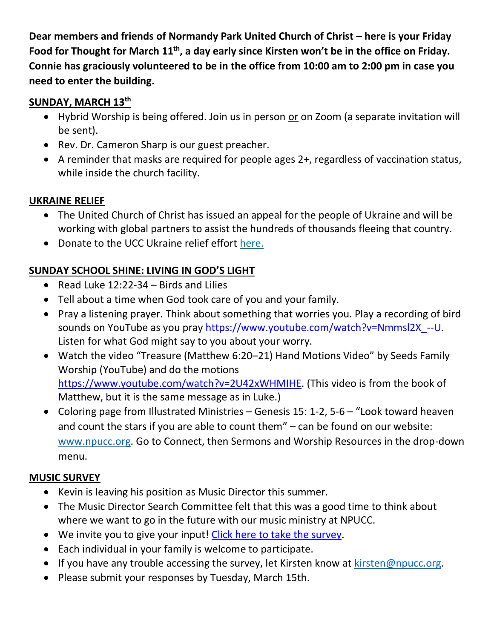Dear members and friends of Normandy Park United Church of Christ – here is your Friday **Food for Thought for March 11th, a day early since Kirsten won't be in the office on Friday. Connie has graciously volunteered to be in the office from 10:00 am to 2:00 pm in case you need to enter the building.**

### **SUNDAY, MARCH 13th**

- Hybrid Worship is being offered. Join us in person or on Zoom (a separate invitation will be sent).
- Rev. Dr. Cameron Sharp is our guest preacher.
- A reminder that masks are required for people ages 2+, regardless of vaccination status, while inside the church facility.

#### **UKRAINE RELIEF**

- The United Church of Christ has issued an appeal for the people of Ukraine and will be working with global partners to assist the hundreds of thousands fleeing that country.
- Donate to the UCC Ukraine relief effort [here.](https://ucc.us14.list-manage.com/track/click?u=e49fd1d08f4b544f34bad1ba5&id=3777948ee7&e=36c9e9abfc)

# **SUNDAY SCHOOL SHINE: LIVING IN GOD'S LIGHT**

- Read Luke 12:22-34 Birds and Lilies
- Tell about a time when God took care of you and your family.
- Pray a listening prayer. Think about something that worries you. Play a recording of bird sounds on YouTube as you pray [https://www.youtube.com/watch?v=Nmmsl2X\\_--U.](https://www.youtube.com/watch?v=Nmmsl2X_--U) Listen for what God might say to you about your worry.
- Watch the video "Treasure (Matthew 6:20–21) Hand Motions Video" by Seeds Family Worship (YouTube) and do the motions [https://www.youtube.com/watch?v=2U42xWHMIHE.](https://www.youtube.com/watch?v=2U42xWHMIHE) (This video is from the book of Matthew, but it is the same message as in Luke.)
- Coloring page from Illustrated Ministries Genesis 15: 1-2, 5-6 "Look toward heaven and count the stars if you are able to count them" – can be found on our website: [www.npucc.org.](http://www.npucc.org/) Go to Connect, then Sermons and Worship Resources in the drop-down menu.

## **MUSIC SURVEY**

- Kevin is leaving his position as Music Director this summer.
- The Music Director Search Committee felt that this was a good time to think about where we want to go in the future with our music ministry at NPUCC.
- We invite you to give your input! [Click here to take the survey.](https://forms.gle/j8c1AdHXVVF1WXsW9)
- Each individual in your family is welcome to participate.
- If you have any trouble accessing the survey, let Kirsten know at  $k$ irsten@npucc.org.
- Please submit your responses by Tuesday, March 15th.